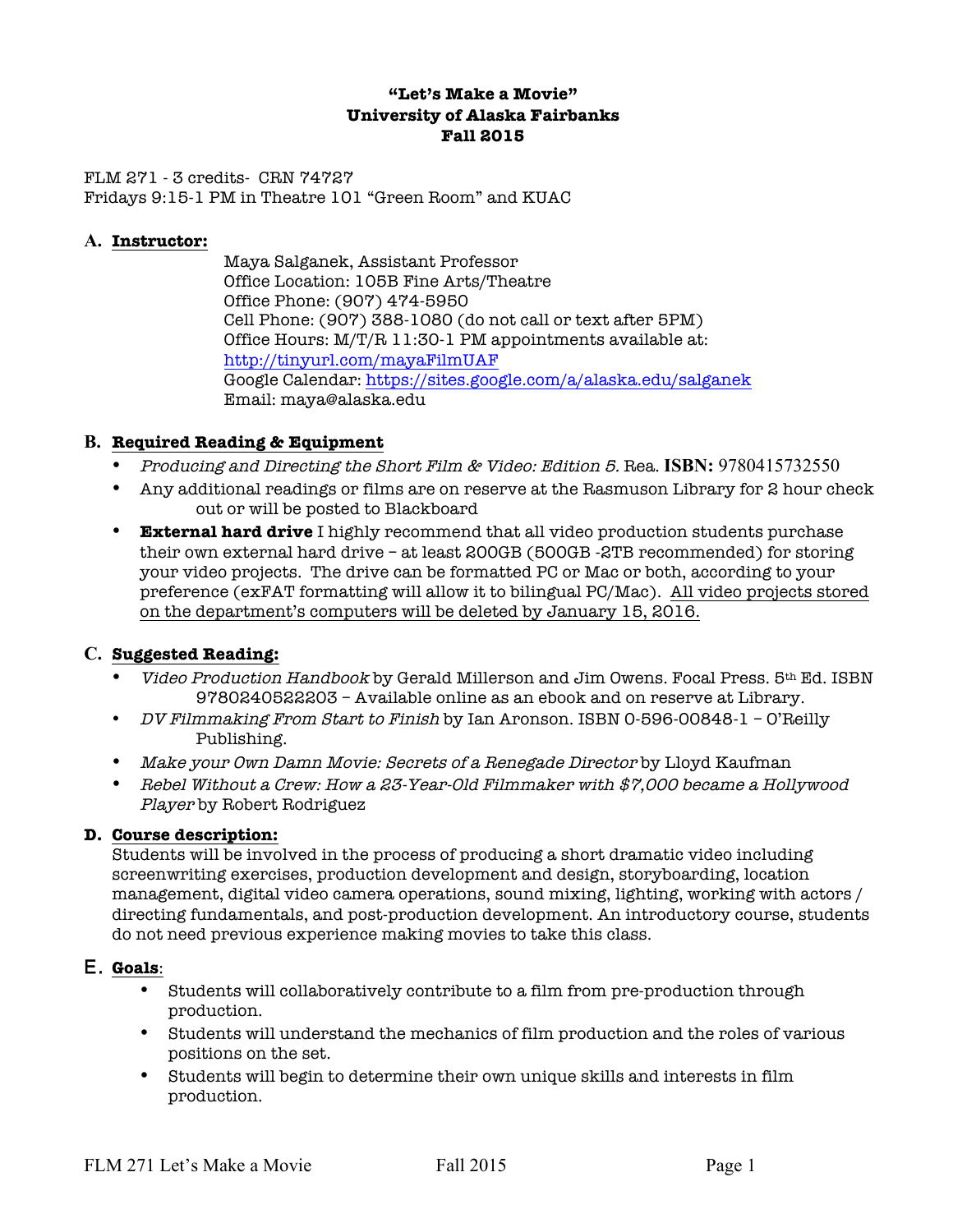## **"Let's Make a Movie" University of Alaska Fairbanks Fall 2015**

FLM 271 - 3 credits- CRN 74727 Fridays 9:15-1 PM in Theatre 101 "Green Room" and KUAC

#### **A. Instructor:**

Maya Salganek, Assistant Professor Office Location: 105B Fine Arts/Theatre Office Phone: (907) 474-5950 Cell Phone: (907) 388-1080 (do not call or text after 5PM) Office Hours: M/T/R 11:30-1 PM appointments available at: http://tinyurl.com/mayaFilmUAF Google Calendar: https://sites.google.com/a/alaska.edu/salganek Email: maya@alaska.edu

### **B. Required Reading & Equipment**

- Producing and Directing the Short Film & Video: Edition 5. Rea. **ISBN:** 9780415732550
- Any additional readings or films are on reserve at the Rasmuson Library for 2 hour check out or will be posted to Blackboard
- **External hard drive** I highly recommend that all video production students purchase their own external hard drive – at least 200GB (500GB -2TB recommended) for storing your video projects. The drive can be formatted PC or Mac or both, according to your preference (exFAT formatting will allow it to bilingual PC/Mac). All video projects stored on the department's computers will be deleted by January 15, 2016.

### **C. Suggested Reading:**

- *Video Production Handbook* by Gerald Millerson and Jim Owens. Focal Press. 5<sup>th</sup> Ed. ISBN 9780240522203 – Available online as an ebook and on reserve at Library.
- *DV Filmmaking From Start to Finish* by Ian Aronson. ISBN 0-596-00848-1 O'Reilly Publishing.
- Make your Own Damn Movie: Secrets of a Renegade Director by Lloyd Kaufman
- Rebel Without a Crew: How a 23-Year-Old Filmmaker with \$7,000 became a Hollywood Player by Robert Rodriguez

#### **D. Course description:**

Students will be involved in the process of producing a short dramatic video including screenwriting exercises, production development and design, storyboarding, location management, digital video camera operations, sound mixing, lighting, working with actors / directing fundamentals, and post-production development. An introductory course, students do not need previous experience making movies to take this class.

### E. **Goals**:

- Students will collaboratively contribute to a film from pre-production through production.
- Students will understand the mechanics of film production and the roles of various positions on the set.
- Students will begin to determine their own unique skills and interests in film production.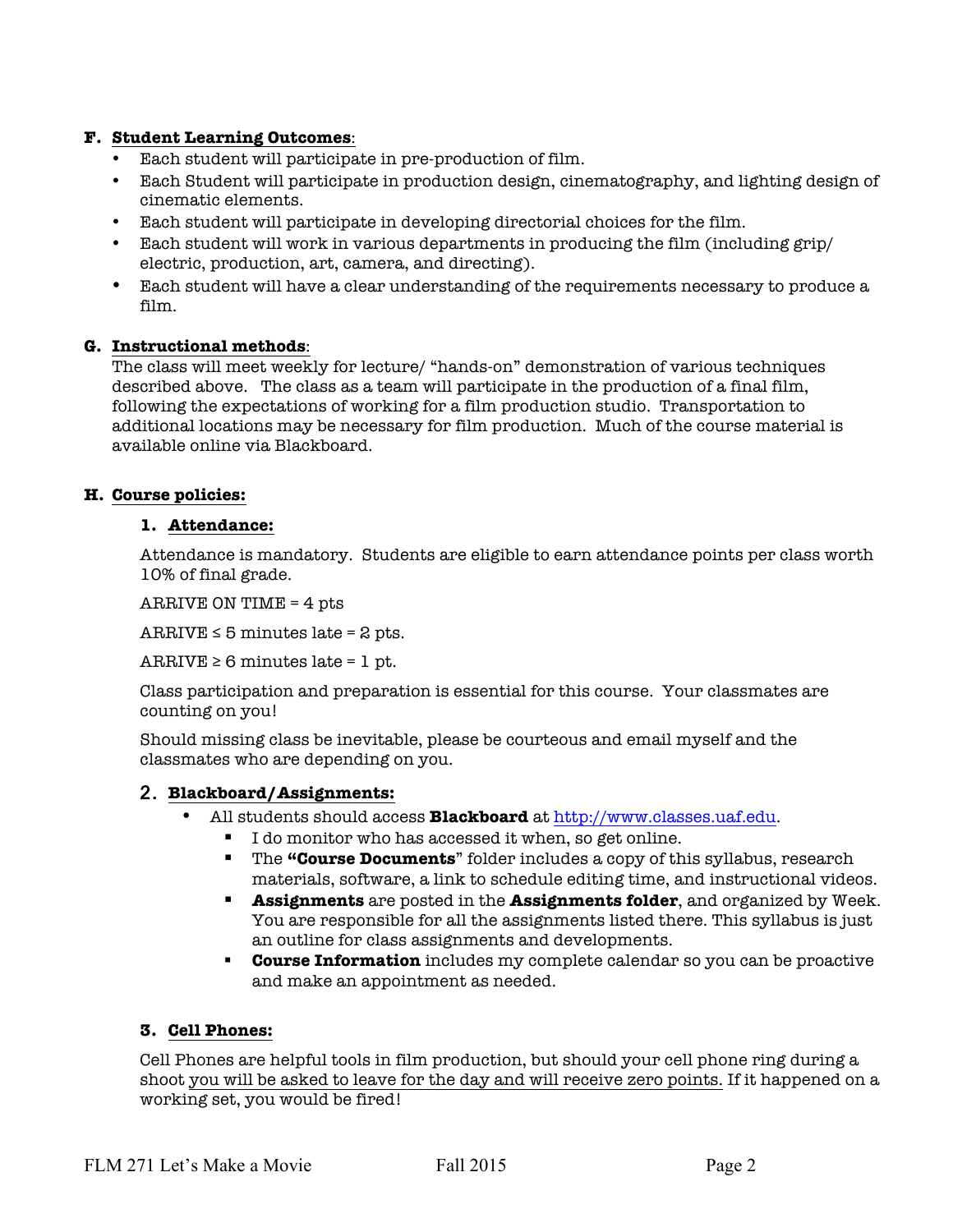# **F. Student Learning Outcomes**:

- Each student will participate in pre-production of film.
- Each Student will participate in production design, cinematography, and lighting design of cinematic elements.
- Each student will participate in developing directorial choices for the film.
- Each student will work in various departments in producing the film (including grip/ electric, production, art, camera, and directing).
- Each student will have a clear understanding of the requirements necessary to produce a film.

### **G. Instructional methods**:

The class will meet weekly for lecture/ "hands-on" demonstration of various techniques described above. The class as a team will participate in the production of a final film, following the expectations of working for a film production studio. Transportation to additional locations may be necessary for film production. Much of the course material is available online via Blackboard.

### **H. Course policies:**

#### **1. Attendance:**

Attendance is mandatory. Students are eligible to earn attendance points per class worth 10% of final grade.

ARRIVE ON TIME = 4 pts

 $ARRIVE \leq 5$  minutes late = 2 pts.

 $ARRIVE \geq 6$  minutes late = 1 pt.

Class participation and preparation is essential for this course. Your classmates are counting on you!

Should missing class be inevitable, please be courteous and email myself and the classmates who are depending on you.

### 2. **Blackboard/Assignments:**

- All students should access **Blackboard** at http://www.classes.uaf.edu.
	- I do monitor who has accessed it when, so get online.
		- § The **"Course Documents**" folder includes a copy of this syllabus, research materials, software, a link to schedule editing time, and instructional videos.
		- § **Assignments** are posted in the **Assignments folder**, and organized by Week. You are responsible for all the assignments listed there. This syllabus is just an outline for class assignments and developments.
		- § **Course Information** includes my complete calendar so you can be proactive and make an appointment as needed.

### **3. Cell Phones:**

Cell Phones are helpful tools in film production, but should your cell phone ring during a shoot you will be asked to leave for the day and will receive zero points. If it happened on a working set, you would be fired!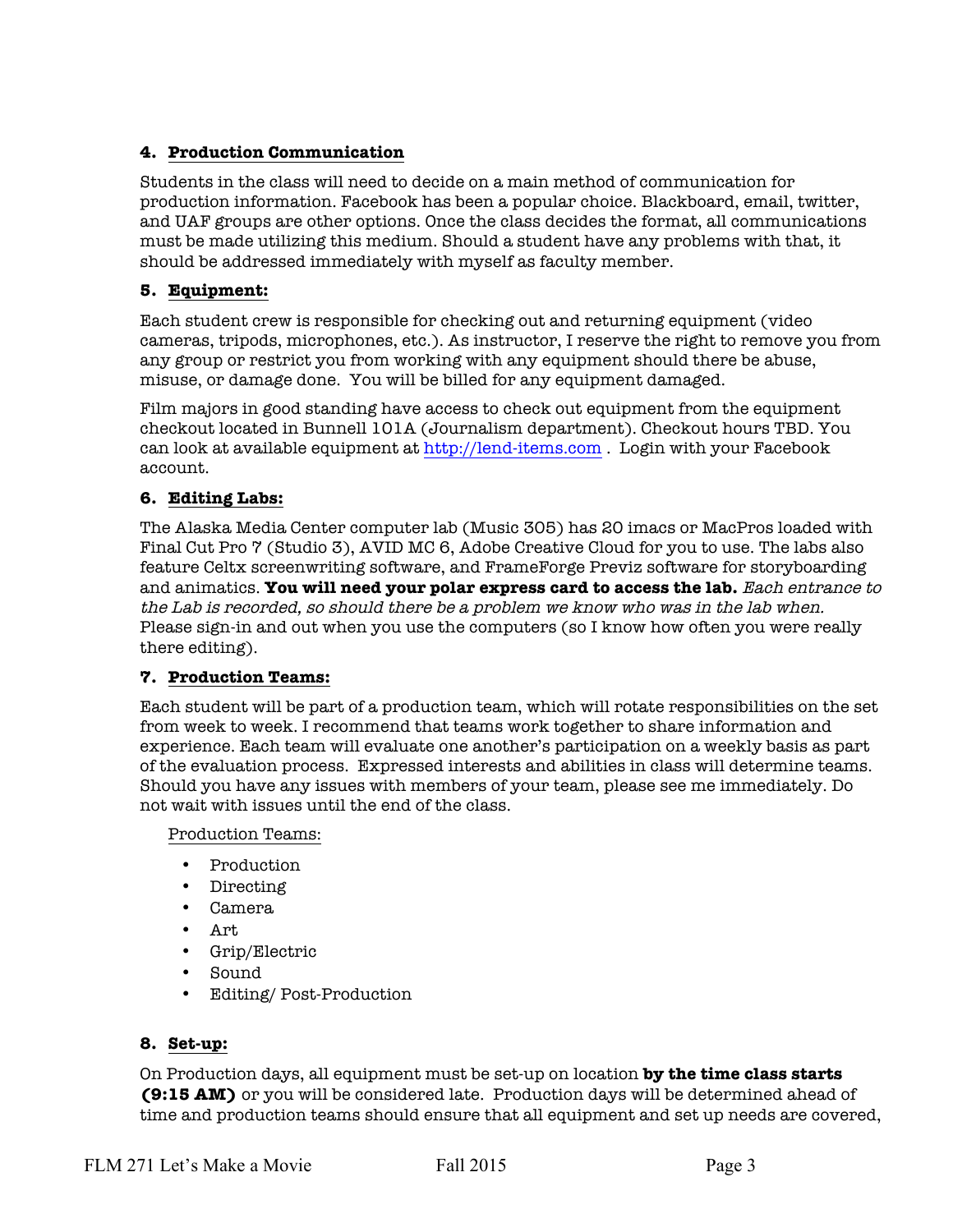# **4. Production Communication**

Students in the class will need to decide on a main method of communication for production information. Facebook has been a popular choice. Blackboard, email, twitter, and UAF groups are other options. Once the class decides the format, all communications must be made utilizing this medium. Should a student have any problems with that, it should be addressed immediately with myself as faculty member.

# **5. Equipment:**

Each student crew is responsible for checking out and returning equipment (video cameras, tripods, microphones, etc.). As instructor, I reserve the right to remove you from any group or restrict you from working with any equipment should there be abuse, misuse, or damage done. You will be billed for any equipment damaged.

Film majors in good standing have access to check out equipment from the equipment checkout located in Bunnell 101A (Journalism department). Checkout hours TBD. You can look at available equipment at http://lend-items.com . Login with your Facebook account.

# **6. Editing Labs:**

The Alaska Media Center computer lab (Music 305) has 20 imacs or MacPros loaded with Final Cut Pro 7 (Studio 3), AVID MC 6, Adobe Creative Cloud for you to use. The labs also feature Celtx screenwriting software, and FrameForge Previz software for storyboarding and animatics. **You will need your polar express card to access the lab.** Each entrance to the Lab is recorded, so should there be a problem we know who was in the lab when. Please sign-in and out when you use the computers (so I know how often you were really there editing).

### **7. Production Teams:**

Each student will be part of a production team, which will rotate responsibilities on the set from week to week. I recommend that teams work together to share information and experience. Each team will evaluate one another's participation on a weekly basis as part of the evaluation process. Expressed interests and abilities in class will determine teams. Should you have any issues with members of your team, please see me immediately. Do not wait with issues until the end of the class.

Production Teams:

- Production
- Directing
- Camera
- Art
- Grip/Electric
- Sound
- Editing/ Post-Production

### **8. Set-up:**

On Production days, all equipment must be set-up on location **by the time class starts (9:15 AM)** or you will be considered late. Production days will be determined ahead of time and production teams should ensure that all equipment and set up needs are covered,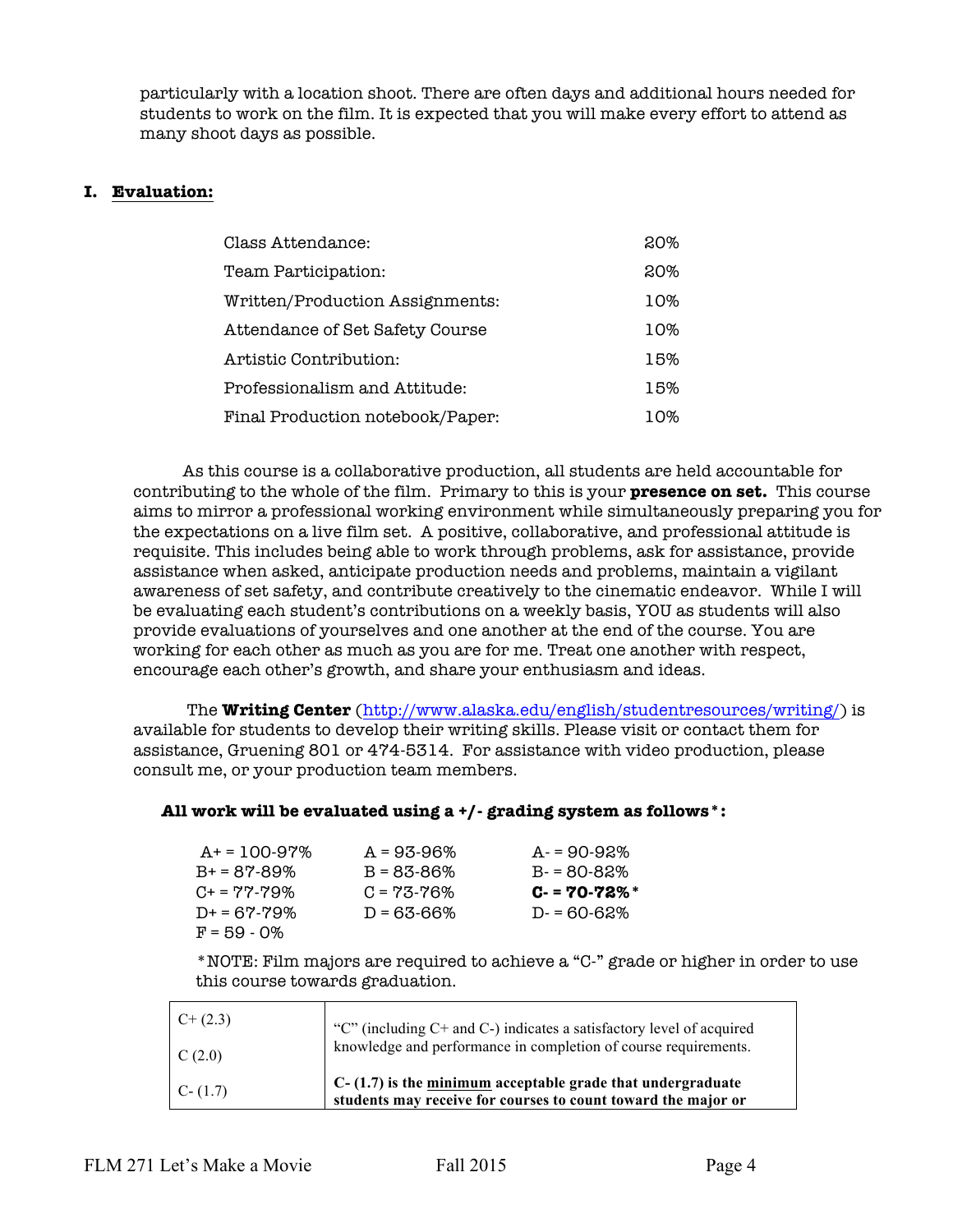particularly with a location shoot. There are often days and additional hours needed for students to work on the film. It is expected that you will make every effort to attend as many shoot days as possible.

#### **I. Evaluation:**

| Class Attendance:                | 20% |
|----------------------------------|-----|
| Team Participation:              | 20% |
| Written/Production Assignments:  | 10% |
| Attendance of Set Safety Course  | 10% |
| Artistic Contribution:           | 15% |
| Professionalism and Attitude:    | 15% |
| Final Production notebook/Paper: | 10% |

As this course is a collaborative production, all students are held accountable for contributing to the whole of the film. Primary to this is your **presence on set.** This course aims to mirror a professional working environment while simultaneously preparing you for the expectations on a live film set. A positive, collaborative, and professional attitude is requisite. This includes being able to work through problems, ask for assistance, provide assistance when asked, anticipate production needs and problems, maintain a vigilant awareness of set safety, and contribute creatively to the cinematic endeavor. While I will be evaluating each student's contributions on a weekly basis, YOU as students will also provide evaluations of yourselves and one another at the end of the course. You are working for each other as much as you are for me. Treat one another with respect, encourage each other's growth, and share your enthusiasm and ideas.

The **Writing Center** (http://www.alaska.edu/english/studentresources/writing/) is available for students to develop their writing skills. Please visit or contact them for assistance, Gruening 801 or 474-5314. For assistance with video production, please consult me, or your production team members.

#### **All work will be evaluated using a +/- grading system as follows\*:**

| $A+ = 100-97\%$     | $A = 93-96%$    | $A = 90 - 92\%$ |
|---------------------|-----------------|-----------------|
| $B+ = 87-89%$       | $B = 83 - 86%$  | $B - 80 - 82\%$ |
| $C_{+} = 77 - 79\%$ | $C = 73 - 76\%$ | $C - 70 - 72\%$ |
| $D+ = 67 - 79\%$    | $D = 63 - 66\%$ | $D = 60 - 62\%$ |
| $F = 59 - 0\%$      |                 |                 |

\*NOTE: Film majors are required to achieve a "C-" grade or higher in order to use this course towards graduation.

| $C+ (2.3)$  | "C" (including $C$ + and $C$ -) indicates a satisfactory level of acquired                                                    |
|-------------|-------------------------------------------------------------------------------------------------------------------------------|
| C(2.0)      | knowledge and performance in completion of course requirements.                                                               |
| $C - (1.7)$ | $C-(1.7)$ is the minimum acceptable grade that undergraduate<br>students may receive for courses to count toward the major or |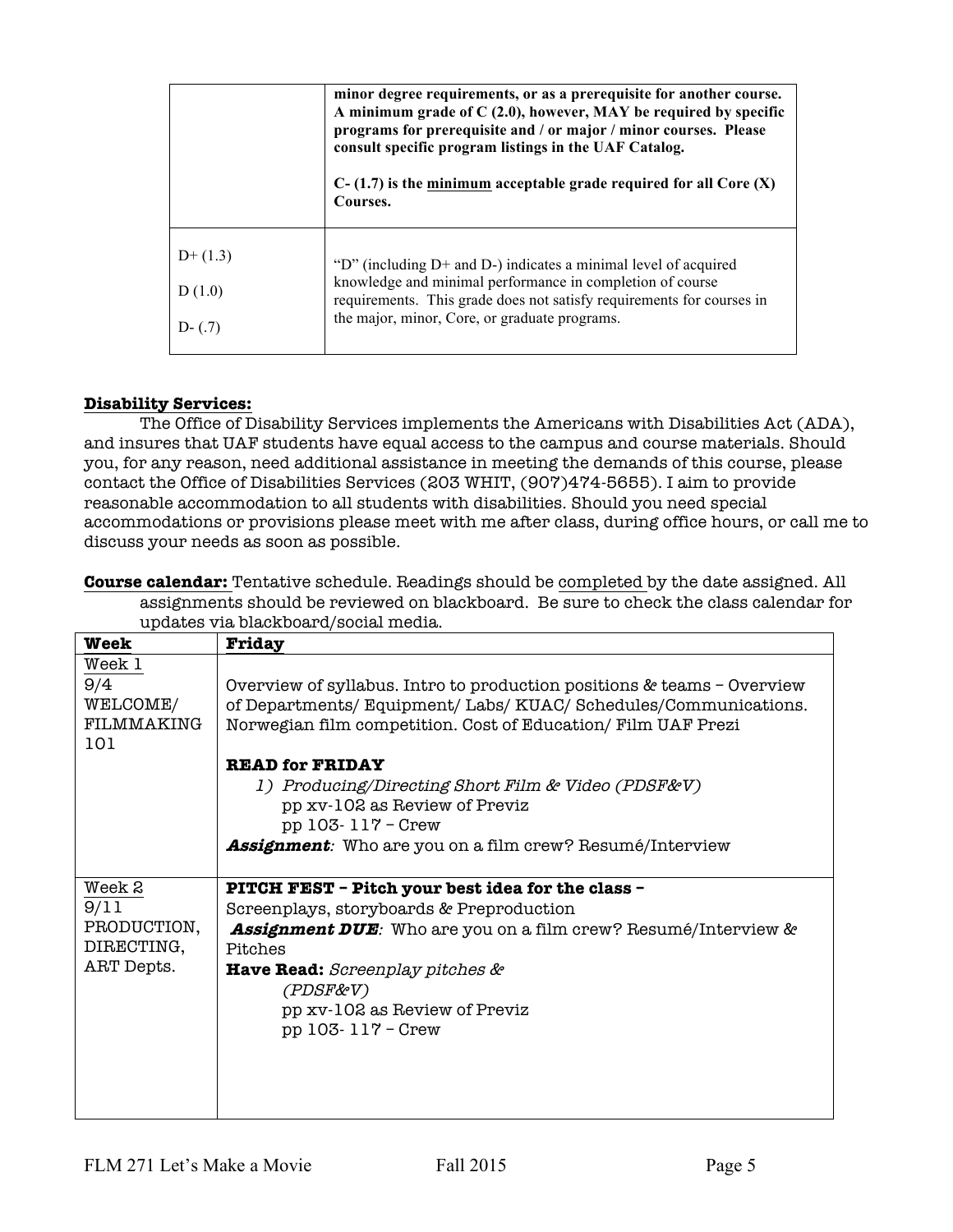|                                 | minor degree requirements, or as a prerequisite for another course.<br>A minimum grade of $C(2.0)$ , however, MAY be required by specific<br>programs for prerequisite and / or major / minor courses. Please<br>consult specific program listings in the UAF Catalog.<br>$C-(1.7)$ is the minimum acceptable grade required for all Core $(X)$<br>Courses. |
|---------------------------------|-------------------------------------------------------------------------------------------------------------------------------------------------------------------------------------------------------------------------------------------------------------------------------------------------------------------------------------------------------------|
| $D+(1.3)$<br>D(1.0)<br>$D-(.7)$ | "D" (including D+ and D-) indicates a minimal level of acquired<br>knowledge and minimal performance in completion of course<br>requirements. This grade does not satisfy requirements for courses in<br>the major, minor, Core, or graduate programs.                                                                                                      |

### **Disability Services:**

The Office of Disability Services implements the Americans with Disabilities Act (ADA), and insures that UAF students have equal access to the campus and course materials. Should you, for any reason, need additional assistance in meeting the demands of this course, please contact the Office of Disabilities Services (203 WHIT, (907)474-5655). I aim to provide reasonable accommodation to all students with disabilities. Should you need special accommodations or provisions please meet with me after class, during office hours, or call me to discuss your needs as soon as possible.

**Course calendar:** Tentative schedule. Readings should be completed by the date assigned. All assignments should be reviewed on blackboard. Be sure to check the class calendar for updates via blackboard/social media.

| Week        | Friday                                                                 |
|-------------|------------------------------------------------------------------------|
| Week 1      |                                                                        |
| 9/4         | Overview of syllabus. Intro to production positions & teams - Overview |
| WELCOME/    | of Departments/Equipment/Labs/KUAC/Schedules/Communications.           |
| FILMMAKING  | Norwegian film competition. Cost of Education/ Film UAF Prezi          |
| 101         |                                                                        |
|             | <b>READ for FRIDAY</b>                                                 |
|             | 1) Producing/Directing Short Film & Video (PDSF&V)                     |
|             | pp xv-102 as Review of Previz                                          |
|             | $pp 103 - 117 - Crew$                                                  |
|             | <b>Assignment</b> : Who are you on a film crew? Resumé/Interview       |
|             |                                                                        |
| Week 2      | <b>PITCH FEST - Pitch your best idea for the class -</b>               |
| 9/11        | Screenplays, storyboards & Preproduction                               |
| PRODUCTION, | <b>Assignment DUE</b> : Who are you on a film crew? Resumé/Interview & |
| DIRECTING,  | Pitches                                                                |
| ART Depts.  | <b>Have Read:</b> Screenplay pitches &                                 |
|             | (PDSF&V)                                                               |
|             | pp xv-102 as Review of Previz                                          |
|             | $pp 103 - 117 - Crew$                                                  |
|             |                                                                        |
|             |                                                                        |
|             |                                                                        |
|             |                                                                        |